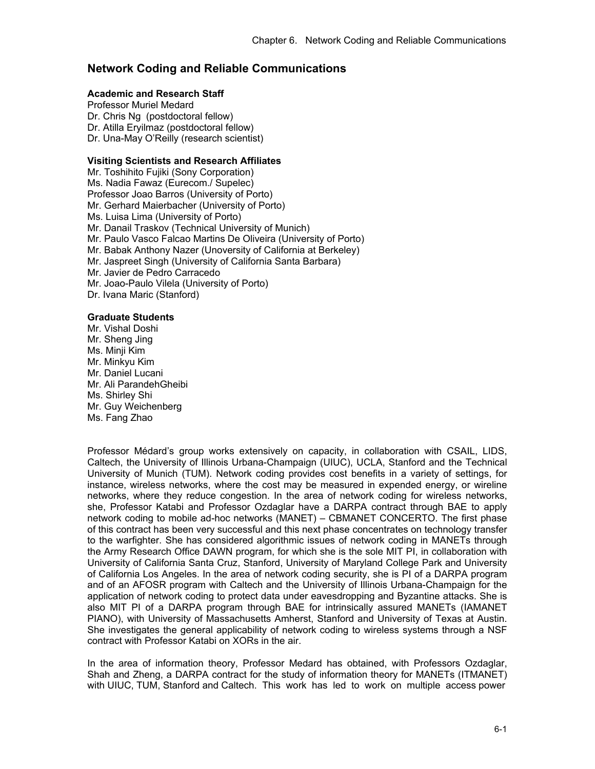# **Network Coding and Reliable Communications**

# **Academic and Research Staff**

Professor Muriel Medard Dr. Chris Ng (postdoctoral fellow) Dr. Atilla Eryilmaz (postdoctoral fellow) Dr. Una-May O'Reilly (research scientist)

### **Visiting Scientists and Research Affiliates**

Mr. Toshihito Fujiki (Sony Corporation) Ms. Nadia Fawaz (Eurecom./ Supelec) Professor Joao Barros (University of Porto) Mr. Gerhard Maierbacher (University of Porto) Ms. Luisa Lima (University of Porto) Mr. Danail Traskov (Technical University of Munich) Mr. Paulo Vasco Falcao Martins De Oliveira (University of Porto) Mr. Babak Anthony Nazer (Unoversity of California at Berkeley) Mr. Jaspreet Singh (University of California Santa Barbara) Mr. Javier de Pedro Carracedo Mr. Joao-Paulo Vilela (University of Porto) Dr. Ivana Maric (Stanford)

# **Graduate Students**

Mr. Vishal Doshi Mr. Sheng Jing Ms. Minji Kim Mr. Minkyu Kim Mr. Daniel Lucani Mr. Ali ParandehGheibi Ms. Shirley Shi Mr. Guy Weichenberg Ms. Fang Zhao

Professor Médard's group works extensively on capacity, in collaboration with CSAIL, LIDS, Caltech, the University of Illinois Urbana-Champaign (UIUC), UCLA, Stanford and the Technical University of Munich (TUM). Network coding provides cost benefits in a variety of settings, for instance, wireless networks, where the cost may be measured in expended energy, or wireline networks, where they reduce congestion. In the area of network coding for wireless networks, she, Professor Katabi and Professor Ozdaglar have a DARPA contract through BAE to apply network coding to mobile ad-hoc networks (MANET) – CBMANET CONCERTO. The first phase of this contract has been very successful and this next phase concentrates on technology transfer to the warfighter. She has considered algorithmic issues of network coding in MANETs through the Army Research Office DAWN program, for which she is the sole MIT PI, in collaboration with University of California Santa Cruz, Stanford, University of Maryland College Park and University of California Los Angeles. In the area of network coding security, she is PI of a DARPA program and of an AFOSR program with Caltech and the University of Illinois Urbana-Champaign for the application of network coding to protect data under eavesdropping and Byzantine attacks. She is also MIT PI of a DARPA program through BAE for intrinsically assured MANETs (IAMANET PIANO), with University of Massachusetts Amherst, Stanford and University of Texas at Austin. She investigates the general applicability of network coding to wireless systems through a NSF contract with Professor Katabi on XORs in the air.

In the area of information theory, Professor Medard has obtained, with Professors Ozdaglar, Shah and Zheng, a DARPA contract for the study of information theory for MANETs (ITMANET) with UIUC, TUM, Stanford and Caltech. This work has led to work on multiple access power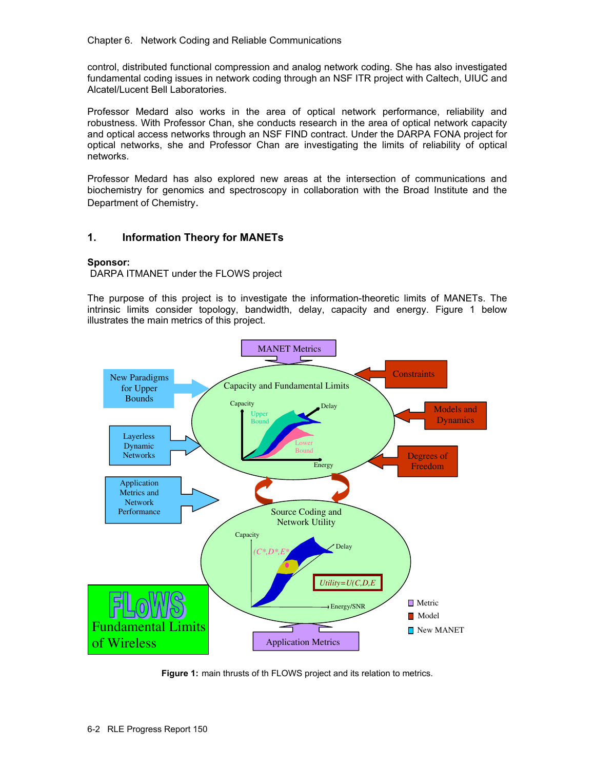Chapter 6. Network Coding and Reliable Communications

control, distributed functional compression and analog network coding. She has also investigated fundamental coding issues in network coding through an NSF ITR project with Caltech, UIUC and Alcatel/Lucent Bell Laboratories.

Professor Medard also works in the area of optical network performance, reliability and robustness. With Professor Chan, she conducts research in the area of optical network capacity and optical access networks through an NSF FIND contract. Under the DARPA FONA project for optical networks, she and Professor Chan are investigating the limits of reliability of optical networks.

Professor Medard has also explored new areas at the intersection of communications and biochemistry for genomics and spectroscopy in collaboration with the Broad Institute and the Department of Chemistry.

# **1. Information Theory for MANETs**

## **Sponsor:**

DARPA ITMANET under the FLOWS project

The purpose of this project is to investigate the information-theoretic limits of MANETs. The intrinsic limits consider topology, bandwidth, delay, capacity and energy. Figure 1 below illustrates the main metrics of this project.



**Figure 1:** main thrusts of th FLOWS project and its relation to metrics.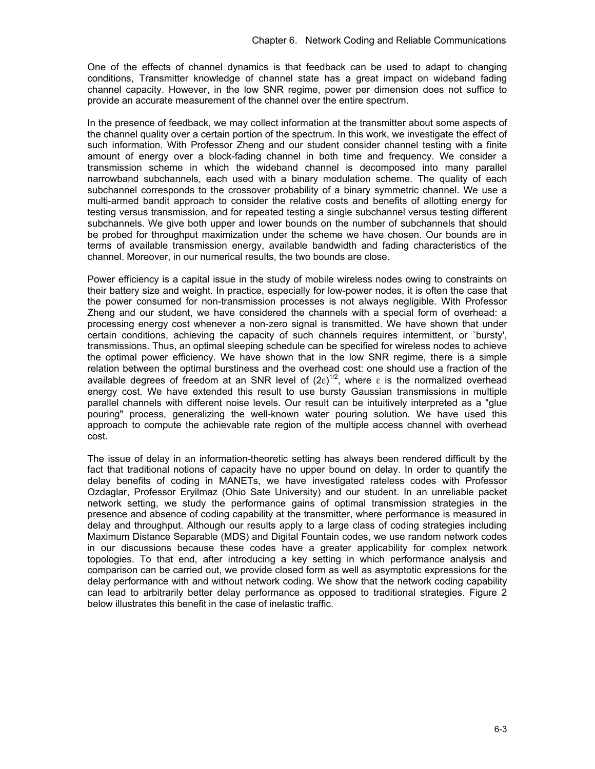One of the effects of channel dynamics is that feedback can be used to adapt to changing conditions, Transmitter knowledge of channel state has a great impact on wideband fading channel capacity. However, in the low SNR regime, power per dimension does not suffice to provide an accurate measurement of the channel over the entire spectrum.

In the presence of feedback, we may collect information at the transmitter about some aspects of the channel quality over a certain portion of the spectrum. In this work, we investigate the effect of such information. With Professor Zheng and our student consider channel testing with a finite amount of energy over a block-fading channel in both time and frequency. We consider a transmission scheme in which the wideband channel is decomposed into many parallel narrowband subchannels, each used with a binary modulation scheme. The quality of each subchannel corresponds to the crossover probability of a binary symmetric channel. We use a multi-armed bandit approach to consider the relative costs and benefits of allotting energy for testing versus transmission, and for repeated testing a single subchannel versus testing different subchannels. We give both upper and lower bounds on the number of subchannels that should be probed for throughput maximization under the scheme we have chosen. Our bounds are in terms of available transmission energy, available bandwidth and fading characteristics of the channel. Moreover, in our numerical results, the two bounds are close.

Power efficiency is a capital issue in the study of mobile wireless nodes owing to constraints on their battery size and weight. In practice, especially for low-power nodes, it is often the case that the power consumed for non-transmission processes is not always negligible. With Professor Zheng and our student, we have considered the channels with a special form of overhead: a processing energy cost whenever a non-zero signal is transmitted. We have shown that under certain conditions, achieving the capacity of such channels requires intermittent, or `bursty', transmissions. Thus, an optimal sleeping schedule can be specified for wireless nodes to achieve the optimal power efficiency. We have shown that in the low SNR regime, there is a simple relation between the optimal burstiness and the overhead cost: one should use a fraction of the available degrees of freedom at an SNR level of  $(2ε)^{1/2}$ , where ε is the normalized overhead energy cost. We have extended this result to use bursty Gaussian transmissions in multiple parallel channels with different noise levels. Our result can be intuitively interpreted as a "glue pouring" process, generalizing the well-known water pouring solution. We have used this approach to compute the achievable rate region of the multiple access channel with overhead cost.

The issue of delay in an information-theoretic setting has always been rendered difficult by the fact that traditional notions of capacity have no upper bound on delay. In order to quantify the delay benefits of coding in MANETs, we have investigated rateless codes with Professor Ozdaglar, Professor Eryilmaz (Ohio Sate University) and our student. In an unreliable packet network setting, we study the performance gains of optimal transmission strategies in the presence and absence of coding capability at the transmitter, where performance is measured in delay and throughput. Although our results apply to a large class of coding strategies including Maximum Distance Separable (MDS) and Digital Fountain codes, we use random network codes in our discussions because these codes have a greater applicability for complex network topologies. To that end, after introducing a key setting in which performance analysis and comparison can be carried out, we provide closed form as well as asymptotic expressions for the delay performance with and without network coding. We show that the network coding capability can lead to arbitrarily better delay performance as opposed to traditional strategies. Figure 2 below illustrates this benefit in the case of inelastic traffic.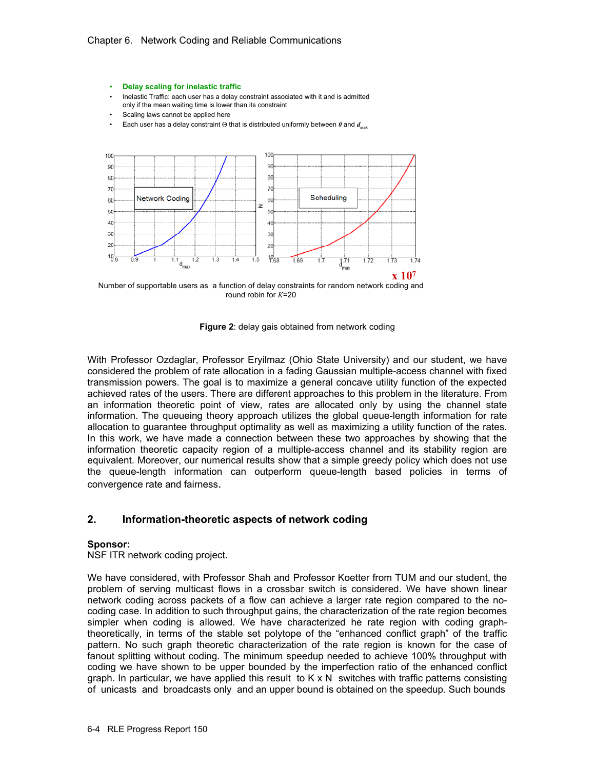

- Inelastic Traffic: each user has a delay constraint associated with it and is admitted only if the mean waiting time is lower than its constraint
- Scaling laws cannot be applied here
- Each user has a delay constraint Θ that is distributed uniformly between *0* and *dmax*



round robin for *K*=20

**Figure 2**: delay gais obtained from network coding

With Professor Ozdaglar, Professor Eryilmaz (Ohio State University) and our student, we have considered the problem of rate allocation in a fading Gaussian multiple-access channel with fixed transmission powers. The goal is to maximize a general concave utility function of the expected achieved rates of the users. There are different approaches to this problem in the literature. From an information theoretic point of view, rates are allocated only by using the channel state information. The queueing theory approach utilizes the global queue-length information for rate allocation to guarantee throughput optimality as well as maximizing a utility function of the rates. In this work, we have made a connection between these two approaches by showing that the information theoretic capacity region of a multiple-access channel and its stability region are equivalent. Moreover, our numerical results show that a simple greedy policy which does not use the queue-length information can outperform queue-length based policies in terms of convergence rate and fairness.

# **2. Information-theoretic aspects of network coding**

#### **Sponsor:**

NSF ITR network coding project.

We have considered, with Professor Shah and Professor Koetter from TUM and our student, the problem of serving multicast flows in a crossbar switch is considered. We have shown linear network coding across packets of a flow can achieve a larger rate region compared to the nocoding case. In addition to such throughput gains, the characterization of the rate region becomes simpler when coding is allowed. We have characterized he rate region with coding graphtheoretically, in terms of the stable set polytope of the "enhanced conflict graph" of the traffic pattern. No such graph theoretic characterization of the rate region is known for the case of fanout splitting without coding. The minimum speedup needed to achieve 100% throughput with coding we have shown to be upper bounded by the imperfection ratio of the enhanced conflict graph. In particular, we have applied this result to  $K \times N$  switches with traffic patterns consisting of unicasts and broadcasts only and an upper bound is obtained on the speedup. Such bounds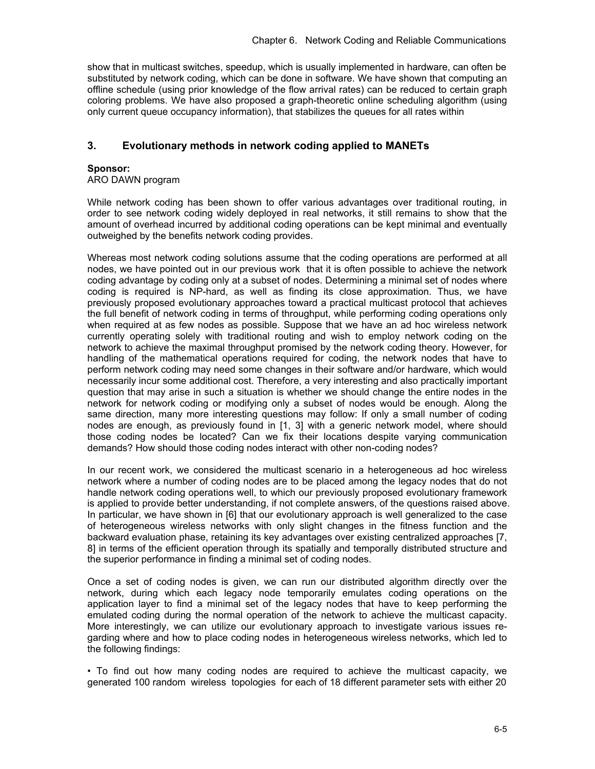show that in multicast switches, speedup, which is usually implemented in hardware, can often be substituted by network coding, which can be done in software. We have shown that computing an offline schedule (using prior knowledge of the flow arrival rates) can be reduced to certain graph coloring problems. We have also proposed a graph-theoretic online scheduling algorithm (using only current queue occupancy information), that stabilizes the queues for all rates within

# **3. Evolutionary methods in network coding applied to MANETs**

## **Sponsor:**

ARO DAWN program

While network coding has been shown to offer various advantages over traditional routing, in order to see network coding widely deployed in real networks, it still remains to show that the amount of overhead incurred by additional coding operations can be kept minimal and eventually outweighed by the benefits network coding provides.

Whereas most network coding solutions assume that the coding operations are performed at all nodes, we have pointed out in our previous work that it is often possible to achieve the network coding advantage by coding only at a subset of nodes. Determining a minimal set of nodes where coding is required is NP-hard, as well as finding its close approximation. Thus, we have previously proposed evolutionary approaches toward a practical multicast protocol that achieves the full benefit of network coding in terms of throughput, while performing coding operations only when required at as few nodes as possible. Suppose that we have an ad hoc wireless network currently operating solely with traditional routing and wish to employ network coding on the network to achieve the maximal throughput promised by the network coding theory. However, for handling of the mathematical operations required for coding, the network nodes that have to perform network coding may need some changes in their software and/or hardware, which would necessarily incur some additional cost. Therefore, a very interesting and also practically important question that may arise in such a situation is whether we should change the entire nodes in the network for network coding or modifying only a subset of nodes would be enough. Along the same direction, many more interesting questions may follow: If only a small number of coding nodes are enough, as previously found in [1, 3] with a generic network model, where should those coding nodes be located? Can we fix their locations despite varying communication demands? How should those coding nodes interact with other non-coding nodes?

In our recent work, we considered the multicast scenario in a heterogeneous ad hoc wireless network where a number of coding nodes are to be placed among the legacy nodes that do not handle network coding operations well, to which our previously proposed evolutionary framework is applied to provide better understanding, if not complete answers, of the questions raised above. In particular, we have shown in [6] that our evolutionary approach is well generalized to the case of heterogeneous wireless networks with only slight changes in the fitness function and the backward evaluation phase, retaining its key advantages over existing centralized approaches [7, 8] in terms of the efficient operation through its spatially and temporally distributed structure and the superior performance in finding a minimal set of coding nodes.

Once a set of coding nodes is given, we can run our distributed algorithm directly over the network, during which each legacy node temporarily emulates coding operations on the application layer to find a minimal set of the legacy nodes that have to keep performing the emulated coding during the normal operation of the network to achieve the multicast capacity. More interestingly, we can utilize our evolutionary approach to investigate various issues regarding where and how to place coding nodes in heterogeneous wireless networks, which led to the following findings:

• To find out how many coding nodes are required to achieve the multicast capacity, we generated 100 random wireless topologies for each of 18 different parameter sets with either 20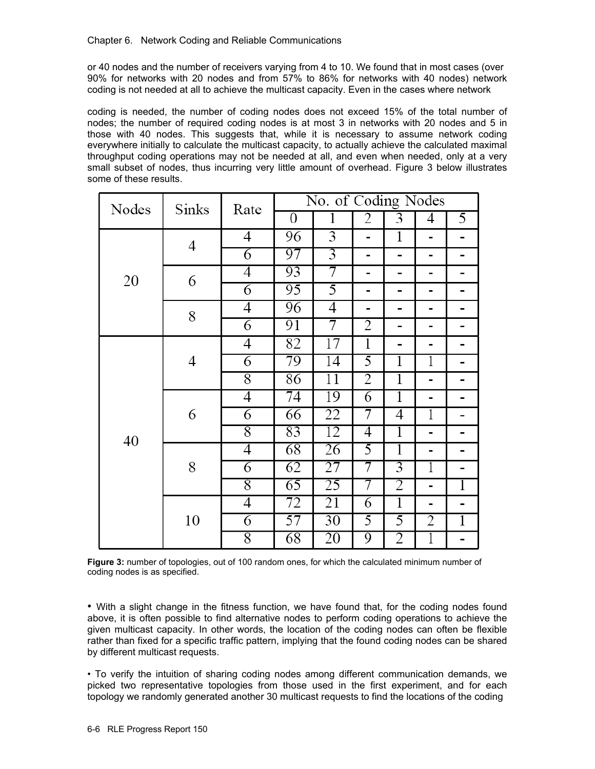or 40 nodes and the number of receivers varying from 4 to 10. We found that in most cases (over 90% for networks with 20 nodes and from 57% to 86% for networks with 40 nodes) network coding is not needed at all to achieve the multicast capacity. Even in the cases where network

coding is needed, the number of coding nodes does not exceed 15% of the total number of nodes; the number of required coding nodes is at most 3 in networks with 20 nodes and 5 in those with 40 nodes. This suggests that, while it is necessary to assume network coding everywhere initially to calculate the multicast capacity, to actually achieve the calculated maximal throughput coding operations may not be needed at all, and even when needed, only at a very small subset of nodes, thus incurring very little amount of overhead. Figure 3 below illustrates some of these results.

| Nodes | Sinks | Rate           | No. of Coding Nodes |                 |                |                |                |                |
|-------|-------|----------------|---------------------|-----------------|----------------|----------------|----------------|----------------|
|       |       |                | $\boldsymbol{0}$    | 1               | 2              | 3              | 4              | 5              |
| 20    | 4     | 4              | 96                  | $\overline{3}$  | $\overline{a}$ | 1              | $\blacksquare$ |                |
|       |       | 6              | 97                  | $\overline{3}$  | -              | -              | -              |                |
|       | 6     | 4              | 93                  | 7               | -              | -              | -              |                |
|       |       | 6              | 95                  | 5               | Ξ.             | -              | -              | -              |
|       | 8     | 4              | 96                  | 4               | Ξ.             | -              | -              |                |
|       |       | $\overline{6}$ | 91                  | 7               | $\overline{2}$ | -              | -              |                |
| 40    | 4     | 4              | 82                  | 17              | 1              | -              | -              |                |
|       |       | $\overline{6}$ | 79                  | $\overline{14}$ | $\overline{5}$ | 1              | ī              |                |
|       |       | 8              | 86                  | 11              | $\overline{2}$ | 1              | -              |                |
|       | 6     | 4              | 74                  | 19              | 6              | $\overline{1}$ | -              |                |
|       |       | $\overline{6}$ | 66                  | 22              | 7              | 4              | 1              |                |
|       |       | 8              | 83                  | 12              | 4              | 1              | -              |                |
|       | 8     | 4              | 68                  | 26              | 5              | $\overline{1}$ | -              |                |
|       |       | 6              | 62                  | 27              | 7              | 3              | 1              |                |
|       |       | 8              | 65                  | 25              | 7              | 2              | -              | 1              |
|       | 10    | 4              | 72                  | 21              | 6              | 1              | $\blacksquare$ | -              |
|       |       | 6              | 57                  | $\overline{30}$ | 5              | 5              | 2              | $\overline{1}$ |
|       |       | 8              | 68                  | 20              | 9              | 2              | 1              |                |

**Figure 3:** number of topologies, out of 100 random ones, for which the calculated minimum number of coding nodes is as specified.

• With a slight change in the fitness function, we have found that, for the coding nodes found above, it is often possible to find alternative nodes to perform coding operations to achieve the given multicast capacity. In other words, the location of the coding nodes can often be flexible rather than fixed for a specific traffic pattern, implying that the found coding nodes can be shared by different multicast requests.

• To verify the intuition of sharing coding nodes among different communication demands, we picked two representative topologies from those used in the first experiment, and for each topology we randomly generated another 30 multicast requests to find the locations of the coding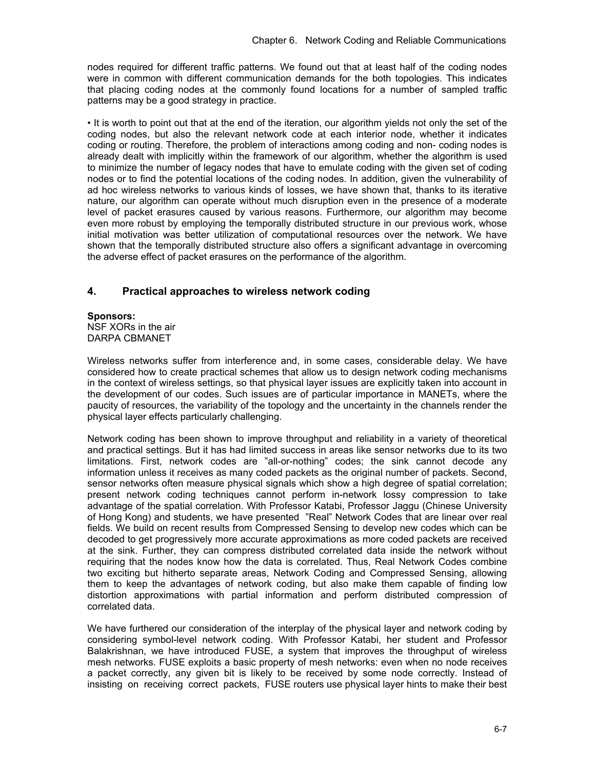nodes required for different traffic patterns. We found out that at least half of the coding nodes were in common with different communication demands for the both topologies. This indicates that placing coding nodes at the commonly found locations for a number of sampled traffic patterns may be a good strategy in practice.

• It is worth to point out that at the end of the iteration, our algorithm yields not only the set of the coding nodes, but also the relevant network code at each interior node, whether it indicates coding or routing. Therefore, the problem of interactions among coding and non- coding nodes is already dealt with implicitly within the framework of our algorithm, whether the algorithm is used to minimize the number of legacy nodes that have to emulate coding with the given set of coding nodes or to find the potential locations of the coding nodes. In addition, given the vulnerability of ad hoc wireless networks to various kinds of losses, we have shown that, thanks to its iterative nature, our algorithm can operate without much disruption even in the presence of a moderate level of packet erasures caused by various reasons. Furthermore, our algorithm may become even more robust by employing the temporally distributed structure in our previous work, whose initial motivation was better utilization of computational resources over the network. We have shown that the temporally distributed structure also offers a significant advantage in overcoming the adverse effect of packet erasures on the performance of the algorithm.

# **4. Practical approaches to wireless network coding**

#### **Sponsors:** NSF XORs in the air DARPA CBMANET

Wireless networks suffer from interference and, in some cases, considerable delay. We have considered how to create practical schemes that allow us to design network coding mechanisms in the context of wireless settings, so that physical layer issues are explicitly taken into account in the development of our codes. Such issues are of particular importance in MANETs, where the paucity of resources, the variability of the topology and the uncertainty in the channels render the physical layer effects particularly challenging.

Network coding has been shown to improve throughput and reliability in a variety of theoretical and practical settings. But it has had limited success in areas like sensor networks due to its two limitations. First, network codes are "all-or-nothing" codes; the sink cannot decode any information unless it receives as many coded packets as the original number of packets. Second, sensor networks often measure physical signals which show a high degree of spatial correlation; present network coding techniques cannot perform in-network lossy compression to take advantage of the spatial correlation. With Professor Katabi, Professor Jaggu (Chinese University of Hong Kong) and students, we have presented "Real" Network Codes that are linear over real fields. We build on recent results from Compressed Sensing to develop new codes which can be decoded to get progressively more accurate approximations as more coded packets are received at the sink. Further, they can compress distributed correlated data inside the network without requiring that the nodes know how the data is correlated. Thus, Real Network Codes combine two exciting but hitherto separate areas, Network Coding and Compressed Sensing, allowing them to keep the advantages of network coding, but also make them capable of finding low distortion approximations with partial information and perform distributed compression of correlated data.

We have furthered our consideration of the interplay of the physical layer and network coding by considering symbol-level network coding. With Professor Katabi, her student and Professor Balakrishnan, we have introduced FUSE, a system that improves the throughput of wireless mesh networks. FUSE exploits a basic property of mesh networks: even when no node receives a packet correctly, any given bit is likely to be received by some node correctly. Instead of insisting on receiving correct packets, FUSE routers use physical layer hints to make their best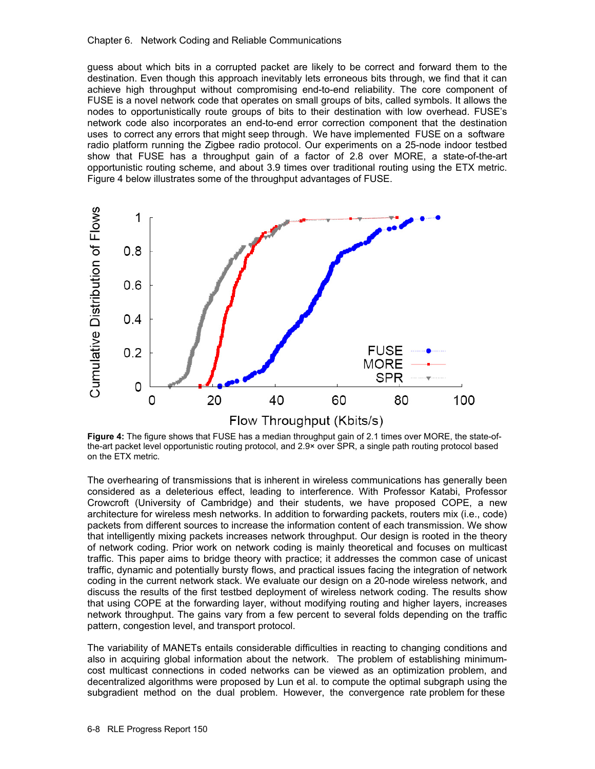#### Chapter 6. Network Coding and Reliable Communications

guess about which bits in a corrupted packet are likely to be correct and forward them to the destination. Even though this approach inevitably lets erroneous bits through, we find that it can achieve high throughput without compromising end-to-end reliability. The core component of FUSE is a novel network code that operates on small groups of bits, called symbols. It allows the nodes to opportunistically route groups of bits to their destination with low overhead. FUSE's network code also incorporates an end-to-end error correction component that the destination uses to correct any errors that might seep through. We have implemented FUSE on a software radio platform running the Zigbee radio protocol. Our experiments on a 25-node indoor testbed show that FUSE has a throughput gain of a factor of 2.8 over MORE, a state-of-the-art opportunistic routing scheme, and about 3.9 times over traditional routing using the ETX metric. Figure 4 below illustrates some of the throughput advantages of FUSE.



**Figure 4:** The figure shows that FUSE has a median throughput gain of 2.1 times over MORE, the state-ofthe-art packet level opportunistic routing protocol, and 2.9× over SPR, a single path routing protocol based on the ETX metric.

The overhearing of transmissions that is inherent in wireless communications has generally been considered as a deleterious effect, leading to interference. With Professor Katabi, Professor Crowcroft (University of Cambridge) and their students, we have proposed COPE, a new architecture for wireless mesh networks. In addition to forwarding packets, routers mix (i.e., code) packets from different sources to increase the information content of each transmission. We show that intelligently mixing packets increases network throughput. Our design is rooted in the theory of network coding. Prior work on network coding is mainly theoretical and focuses on multicast traffic. This paper aims to bridge theory with practice; it addresses the common case of unicast traffic, dynamic and potentially bursty flows, and practical issues facing the integration of network coding in the current network stack. We evaluate our design on a 20-node wireless network, and discuss the results of the first testbed deployment of wireless network coding. The results show that using COPE at the forwarding layer, without modifying routing and higher layers, increases network throughput. The gains vary from a few percent to several folds depending on the traffic pattern, congestion level, and transport protocol.

The variability of MANETs entails considerable difficulties in reacting to changing conditions and also in acquiring global information about the network. The problem of establishing minimumcost multicast connections in coded networks can be viewed as an optimization problem, and decentralized algorithms were proposed by Lun et al. to compute the optimal subgraph using the subgradient method on the dual problem. However, the convergence rate problem for these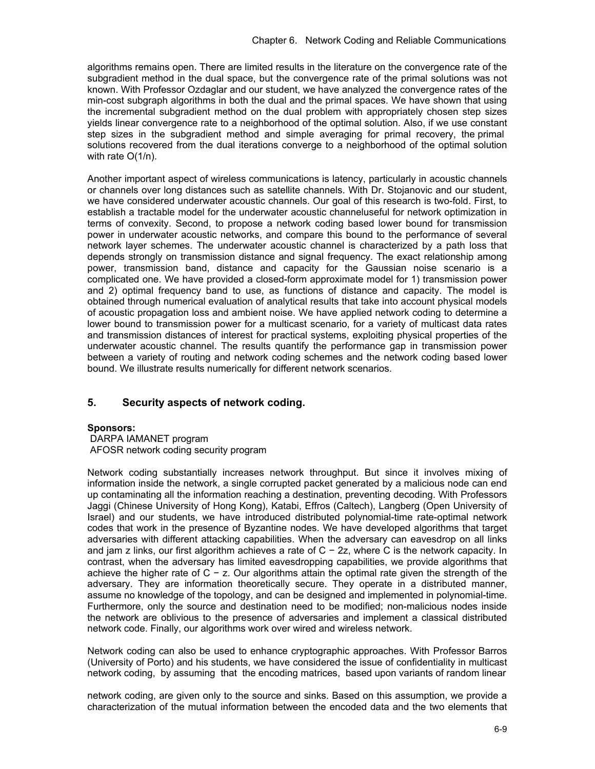algorithms remains open. There are limited results in the literature on the convergence rate of the subgradient method in the dual space, but the convergence rate of the primal solutions was not known. With Professor Ozdaglar and our student, we have analyzed the convergence rates of the min-cost subgraph algorithms in both the dual and the primal spaces. We have shown that using the incremental subgradient method on the dual problem with appropriately chosen step sizes yields linear convergence rate to a neighborhood of the optimal solution. Also, if we use constant step sizes in the subgradient method and simple averaging for primal recovery, the primal solutions recovered from the dual iterations converge to a neighborhood of the optimal solution with rate O(1/n).

Another important aspect of wireless communications is latency, particularly in acoustic channels or channels over long distances such as satellite channels. With Dr. Stojanovic and our student, we have considered underwater acoustic channels. Our goal of this research is two-fold. First, to establish a tractable model for the underwater acoustic channeluseful for network optimization in terms of convexity. Second, to propose a network coding based lower bound for transmission power in underwater acoustic networks, and compare this bound to the performance of several network layer schemes. The underwater acoustic channel is characterized by a path loss that depends strongly on transmission distance and signal frequency. The exact relationship among power, transmission band, distance and capacity for the Gaussian noise scenario is a complicated one. We have provided a closed-form approximate model for 1) transmission power and 2) optimal frequency band to use, as functions of distance and capacity. The model is obtained through numerical evaluation of analytical results that take into account physical models of acoustic propagation loss and ambient noise. We have applied network coding to determine a lower bound to transmission power for a multicast scenario, for a variety of multicast data rates and transmission distances of interest for practical systems, exploiting physical properties of the underwater acoustic channel. The results quantify the performance gap in transmission power between a variety of routing and network coding schemes and the network coding based lower bound. We illustrate results numerically for different network scenarios.

# **5. Security aspects of network coding.**

#### **Sponsors:**

 DARPA IAMANET program AFOSR network coding security program

Network coding substantially increases network throughput. But since it involves mixing of information inside the network, a single corrupted packet generated by a malicious node can end up contaminating all the information reaching a destination, preventing decoding. With Professors Jaggi (Chinese University of Hong Kong), Katabi, Effros (Caltech), Langberg (Open University of Israel) and our students, we have introduced distributed polynomial-time rate-optimal network codes that work in the presence of Byzantine nodes. We have developed algorithms that target adversaries with different attacking capabilities. When the adversary can eavesdrop on all links and jam z links, our first algorithm achieves a rate of C − 2z, where C is the network capacity. In contrast, when the adversary has limited eavesdropping capabilities, we provide algorithms that achieve the higher rate of C − z. Our algorithms attain the optimal rate given the strength of the adversary. They are information theoretically secure. They operate in a distributed manner, assume no knowledge of the topology, and can be designed and implemented in polynomial-time. Furthermore, only the source and destination need to be modified; non-malicious nodes inside the network are oblivious to the presence of adversaries and implement a classical distributed network code. Finally, our algorithms work over wired and wireless network.

Network coding can also be used to enhance cryptographic approaches. With Professor Barros (University of Porto) and his students, we have considered the issue of confidentiality in multicast network coding, by assuming that the encoding matrices, based upon variants of random linear

network coding, are given only to the source and sinks. Based on this assumption, we provide a characterization of the mutual information between the encoded data and the two elements that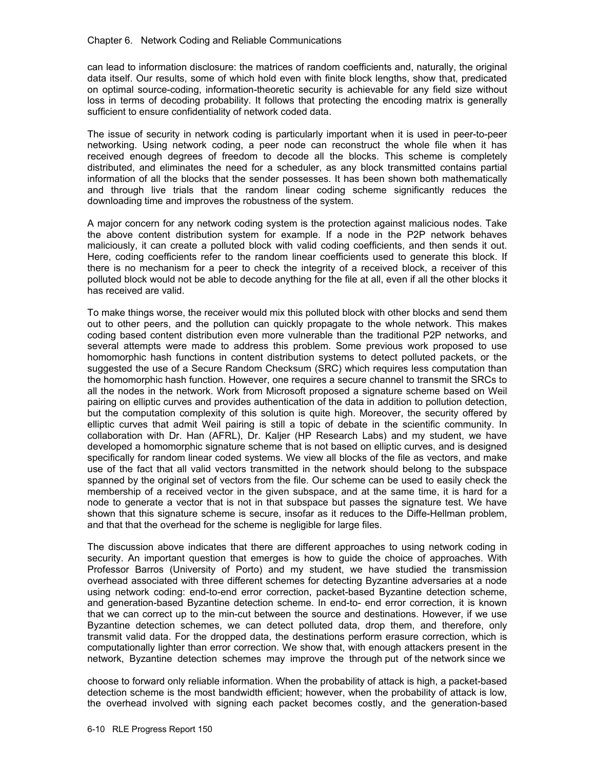can lead to information disclosure: the matrices of random coefficients and, naturally, the original data itself. Our results, some of which hold even with finite block lengths, show that, predicated on optimal source-coding, information-theoretic security is achievable for any field size without loss in terms of decoding probability. It follows that protecting the encoding matrix is generally sufficient to ensure confidentiality of network coded data.

The issue of security in network coding is particularly important when it is used in peer-to-peer networking. Using network coding, a peer node can reconstruct the whole file when it has received enough degrees of freedom to decode all the blocks. This scheme is completely distributed, and eliminates the need for a scheduler, as any block transmitted contains partial information of all the blocks that the sender possesses. It has been shown both mathematically and through live trials that the random linear coding scheme significantly reduces the downloading time and improves the robustness of the system.

A major concern for any network coding system is the protection against malicious nodes. Take the above content distribution system for example. If a node in the P2P network behaves maliciously, it can create a polluted block with valid coding coefficients, and then sends it out. Here, coding coefficients refer to the random linear coefficients used to generate this block. If there is no mechanism for a peer to check the integrity of a received block, a receiver of this polluted block would not be able to decode anything for the file at all, even if all the other blocks it has received are valid.

To make things worse, the receiver would mix this polluted block with other blocks and send them out to other peers, and the pollution can quickly propagate to the whole network. This makes coding based content distribution even more vulnerable than the traditional P2P networks, and several attempts were made to address this problem. Some previous work proposed to use homomorphic hash functions in content distribution systems to detect polluted packets, or the suggested the use of a Secure Random Checksum (SRC) which requires less computation than the homomorphic hash function. However, one requires a secure channel to transmit the SRCs to all the nodes in the network. Work from Microsoft proposed a signature scheme based on Weil pairing on elliptic curves and provides authentication of the data in addition to pollution detection, but the computation complexity of this solution is quite high. Moreover, the security offered by elliptic curves that admit Weil pairing is still a topic of debate in the scientific community. In collaboration with Dr. Han (AFRL), Dr. Kaljer (HP Research Labs) and my student, we have developed a homomorphic signature scheme that is not based on elliptic curves, and is designed specifically for random linear coded systems. We view all blocks of the file as vectors, and make use of the fact that all valid vectors transmitted in the network should belong to the subspace spanned by the original set of vectors from the file. Our scheme can be used to easily check the membership of a received vector in the given subspace, and at the same time, it is hard for a node to generate a vector that is not in that subspace but passes the signature test. We have shown that this signature scheme is secure, insofar as it reduces to the Diffe-Hellman problem, and that that the overhead for the scheme is negligible for large files.

The discussion above indicates that there are different approaches to using network coding in security. An important question that emerges is how to guide the choice of approaches. With Professor Barros (University of Porto) and my student, we have studied the transmission overhead associated with three different schemes for detecting Byzantine adversaries at a node using network coding: end-to-end error correction, packet-based Byzantine detection scheme, and generation-based Byzantine detection scheme. In end-to- end error correction, it is known that we can correct up to the min-cut between the source and destinations. However, if we use Byzantine detection schemes, we can detect polluted data, drop them, and therefore, only transmit valid data. For the dropped data, the destinations perform erasure correction, which is computationally lighter than error correction. We show that, with enough attackers present in the network, Byzantine detection schemes may improve the through put of the network since we

choose to forward only reliable information. When the probability of attack is high, a packet-based detection scheme is the most bandwidth efficient; however, when the probability of attack is low, the overhead involved with signing each packet becomes costly, and the generation-based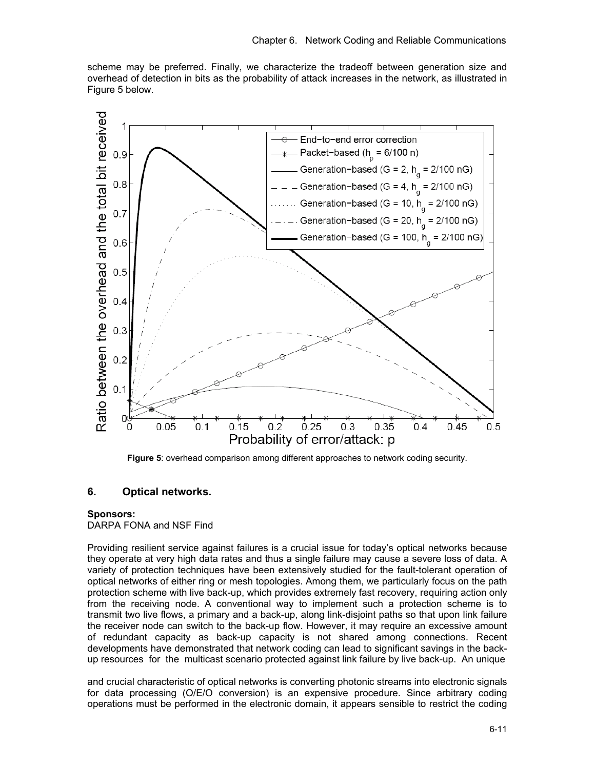scheme may be preferred. Finally, we characterize the tradeoff between generation size and overhead of detection in bits as the probability of attack increases in the network, as illustrated in Figure 5 below.



**Figure 5**: overhead comparison among different approaches to network coding security.

# **6. Optical networks.**

#### **Sponsors:**

DARPA FONA and NSF Find

Providing resilient service against failures is a crucial issue for today's optical networks because they operate at very high data rates and thus a single failure may cause a severe loss of data. A variety of protection techniques have been extensively studied for the fault-tolerant operation of optical networks of either ring or mesh topologies. Among them, we particularly focus on the path protection scheme with live back-up, which provides extremely fast recovery, requiring action only from the receiving node. A conventional way to implement such a protection scheme is to transmit two live flows, a primary and a back-up, along link-disjoint paths so that upon link failure the receiver node can switch to the back-up flow. However, it may require an excessive amount of redundant capacity as back-up capacity is not shared among connections. Recent developments have demonstrated that network coding can lead to significant savings in the backup resources for the multicast scenario protected against link failure by live back-up. An unique

and crucial characteristic of optical networks is converting photonic streams into electronic signals for data processing (O/E/O conversion) is an expensive procedure. Since arbitrary coding operations must be performed in the electronic domain, it appears sensible to restrict the coding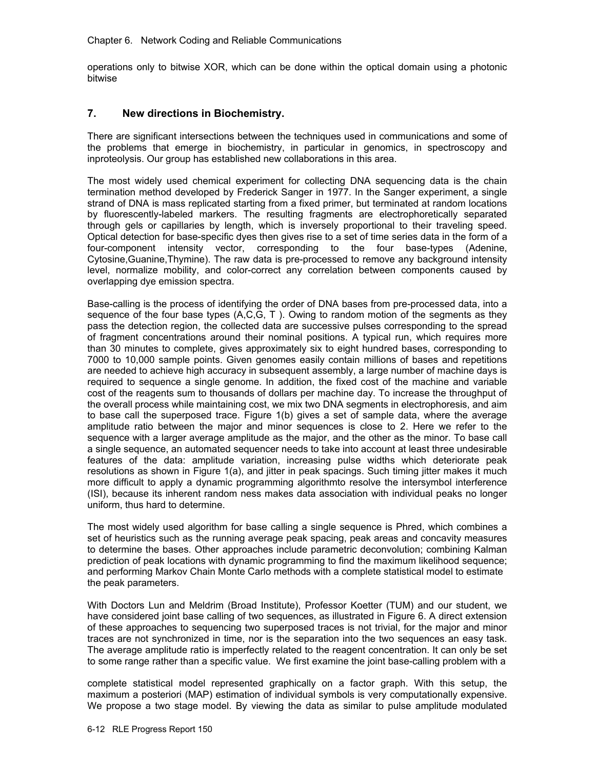operations only to bitwise XOR, which can be done within the optical domain using a photonic bitwise

## **7. New directions in Biochemistry.**

There are significant intersections between the techniques used in communications and some of the problems that emerge in biochemistry, in particular in genomics, in spectroscopy and inproteolysis. Our group has established new collaborations in this area.

The most widely used chemical experiment for collecting DNA sequencing data is the chain termination method developed by Frederick Sanger in 1977. In the Sanger experiment, a single strand of DNA is mass replicated starting from a fixed primer, but terminated at random locations by fluorescently-labeled markers. The resulting fragments are electrophoretically separated through gels or capillaries by length, which is inversely proportional to their traveling speed. Optical detection for base-specific dyes then gives rise to a set of time series data in the form of a four-component intensity vector, corresponding to the four base-types (Adenine, Cytosine,Guanine,Thymine). The raw data is pre-processed to remove any background intensity level, normalize mobility, and color-correct any correlation between components caused by overlapping dye emission spectra.

Base-calling is the process of identifying the order of DNA bases from pre-processed data, into a sequence of the four base types  $(A, C, G, T)$ . Owing to random motion of the segments as they pass the detection region, the collected data are successive pulses corresponding to the spread of fragment concentrations around their nominal positions. A typical run, which requires more than 30 minutes to complete, gives approximately six to eight hundred bases, corresponding to 7000 to 10,000 sample points. Given genomes easily contain millions of bases and repetitions are needed to achieve high accuracy in subsequent assembly, a large number of machine days is required to sequence a single genome. In addition, the fixed cost of the machine and variable cost of the reagents sum to thousands of dollars per machine day. To increase the throughput of the overall process while maintaining cost, we mix two DNA segments in electrophoresis, and aim to base call the superposed trace. Figure 1(b) gives a set of sample data, where the average amplitude ratio between the major and minor sequences is close to 2. Here we refer to the sequence with a larger average amplitude as the major, and the other as the minor. To base call a single sequence, an automated sequencer needs to take into account at least three undesirable features of the data: amplitude variation, increasing pulse widths which deteriorate peak resolutions as shown in Figure 1(a), and jitter in peak spacings. Such timing jitter makes it much more difficult to apply a dynamic programming algorithmto resolve the intersymbol interference (ISI), because its inherent random ness makes data association with individual peaks no longer uniform, thus hard to determine.

The most widely used algorithm for base calling a single sequence is Phred, which combines a set of heuristics such as the running average peak spacing, peak areas and concavity measures to determine the bases. Other approaches include parametric deconvolution; combining Kalman prediction of peak locations with dynamic programming to find the maximum likelihood sequence; and performing Markov Chain Monte Carlo methods with a complete statistical model to estimate the peak parameters.

With Doctors Lun and Meldrim (Broad Institute), Professor Koetter (TUM) and our student, we have considered joint base calling of two sequences, as illustrated in Figure 6. A direct extension of these approaches to sequencing two superposed traces is not trivial, for the major and minor traces are not synchronized in time, nor is the separation into the two sequences an easy task. The average amplitude ratio is imperfectly related to the reagent concentration. It can only be set to some range rather than a specific value. We first examine the joint base-calling problem with a

complete statistical model represented graphically on a factor graph. With this setup, the maximum a posteriori (MAP) estimation of individual symbols is very computationally expensive. We propose a two stage model. By viewing the data as similar to pulse amplitude modulated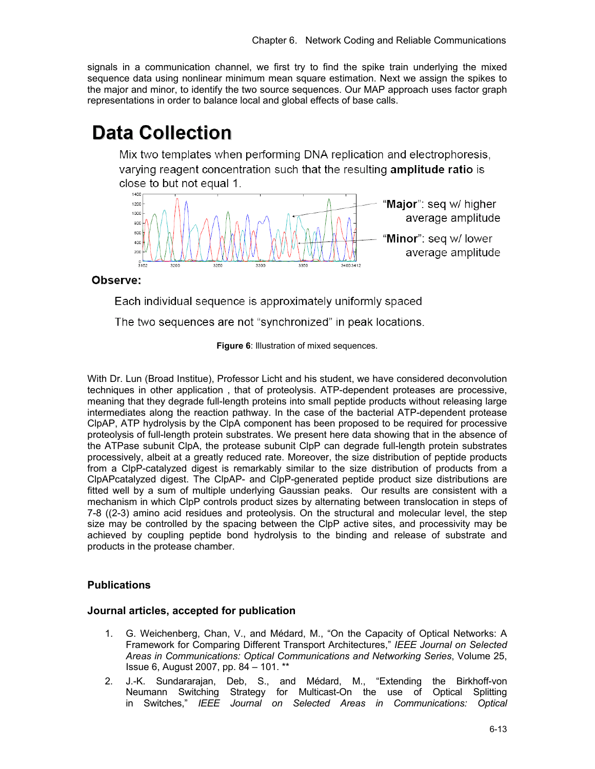signals in a communication channel, we first try to find the spike train underlying the mixed sequence data using nonlinear minimum mean square estimation. Next we assign the spikes to the major and minor, to identify the two source sequences. Our MAP approach uses factor graph representations in order to balance local and global effects of base calls.

# **Data Collection**

Mix two templates when performing DNA replication and electrophoresis, varying reagent concentration such that the resulting **amplitude ratio** is close to but not equal 1.



Observe:

Each individual sequence is approximately uniformly spaced

The two sequences are not "synchronized" in peak locations.

**Figure 6**: Illustration of mixed sequences.

With Dr. Lun (Broad Institue), Professor Licht and his student, we have considered deconvolution techniques in other application , that of proteolysis. ATP-dependent proteases are processive, meaning that they degrade full-length proteins into small peptide products without releasing large intermediates along the reaction pathway. In the case of the bacterial ATP-dependent protease ClpAP, ATP hydrolysis by the ClpA component has been proposed to be required for processive proteolysis of full-length protein substrates. We present here data showing that in the absence of the ATPase subunit ClpA, the protease subunit ClpP can degrade full-length protein substrates processively, albeit at a greatly reduced rate. Moreover, the size distribution of peptide products from a ClpP-catalyzed digest is remarkably similar to the size distribution of products from a ClpAPcatalyzed digest. The ClpAP- and ClpP-generated peptide product size distributions are fitted well by a sum of multiple underlying Gaussian peaks. Our results are consistent with a mechanism in which ClpP controls product sizes by alternating between translocation in steps of 7-8 ((2-3) amino acid residues and proteolysis. On the structural and molecular level, the step size may be controlled by the spacing between the ClpP active sites, and processivity may be achieved by coupling peptide bond hydrolysis to the binding and release of substrate and products in the protease chamber.

# **Publications**

# **Journal articles, accepted for publication**

- 1. G. Weichenberg, Chan, V., and Médard, M., "On the Capacity of Optical Networks: A Framework for Comparing Different Transport Architectures," *IEEE Journal on Selected Areas in Communications: Optical Communications and Networking Series*, Volume 25, Issue 6, August 2007, pp. 84 – 101. \*\*
- 2. J.-K. Sundararajan, Deb, S., and Médard, M., "Extending the Birkhoff-von Neumann Switching Strategy for Multicast-On the use of Optical Splitting in Switches," *IEEE Journal on Selected Areas in Communications: Optical*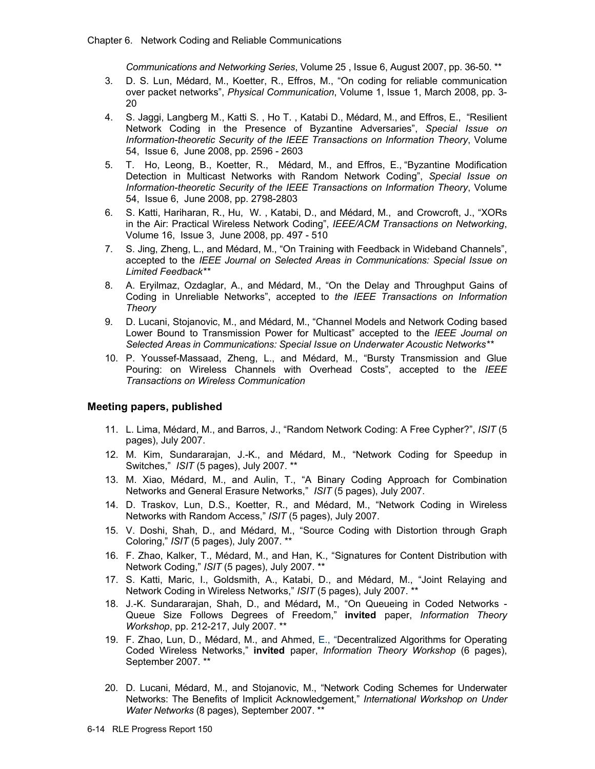*Communications and Networking Series*, Volume 25 , Issue 6, August 2007, pp. 36-50. \*\*

- 3. D. S. Lun, Médard, M., Koetter, R., Effros, M., "On coding for reliable communication over packet networks", *Physical Communication*, Volume 1, Issue 1, March 2008, pp. 3- 20
- 4. S. Jaggi, Langberg M., Katti S. , Ho T. , Katabi D., Médard, M., and Effros, E., "Resilient Network Coding in the Presence of Byzantine Adversaries", *Special Issue on Information-theoretic Security of the IEEE Transactions on Information Theory*, Volume 54, Issue 6, June 2008, pp. 2596 - 2603
- 5. T. Ho, Leong, B., Koetter, R., Médard, M., and Effros, E., "Byzantine Modification Detection in Multicast Networks with Random Network Coding", *Special Issue on Information-theoretic Security of the IEEE Transactions on Information Theory*, Volume 54, Issue 6, June 2008, pp. 2798-2803
- 6. S. Katti, Hariharan, R., Hu, W. , Katabi, D., and Médard, M., and Crowcroft, J., "XORs in the Air: Practical Wireless Network Coding", *IEEE/ACM Transactions on Networking*, Volume 16, Issue 3, June 2008, pp. 497 - 510
- 7. S. Jing, Zheng, L., and Médard, M., "On Training with Feedback in Wideband Channels", accepted to the *IEEE Journal on Selected Areas in Communications: Special Issue on Limited Feedback\*\**
- 8. A. Eryilmaz, Ozdaglar, A., and Médard, M., "On the Delay and Throughput Gains of Coding in Unreliable Networks", accepted to *the IEEE Transactions on Information Theory*
- 9. D. Lucani, Stojanovic, M., and Médard, M., "Channel Models and Network Coding based Lower Bound to Transmission Power for Multicast" accepted to the *IEEE Journal on Selected Areas in Communications: Special Issue on Underwater Acoustic Networks\*\**
- 10. P. Youssef-Massaad, Zheng, L., and Médard, M., "Bursty Transmission and Glue Pouring: on Wireless Channels with Overhead Costs", accepted to the *IEEE Transactions on Wireless Communication*

# **Meeting papers, published**

- 11. L. Lima, Médard, M., and Barros, J., "Random Network Coding: A Free Cypher?", *ISIT* (5 pages), July 2007.
- 12. M. Kim, Sundararajan, J.-K., and Médard, M., "Network Coding for Speedup in Switches," *ISIT* (5 pages), July 2007. \*\*
- 13. M. Xiao, Médard, M., and Aulin, T., "A Binary Coding Approach for Combination Networks and General Erasure Networks," *ISIT* (5 pages), July 2007.
- 14. D. Traskov, Lun, D.S., Koetter, R., and Médard, M., "Network Coding in Wireless Networks with Random Access," *ISIT* (5 pages), July 2007.
- 15. V. Doshi, Shah, D., and Médard, M., "Source Coding with Distortion through Graph Coloring," *ISIT* (5 pages), July 2007. \*\*
- 16. F. Zhao, Kalker, T., Médard, M., and Han, K., "Signatures for Content Distribution with Network Coding," *ISIT* (5 pages), July 2007. \*\*
- 17. S. Katti, Maric, I., Goldsmith, A., Katabi, D., and Médard, M., "Joint Relaying and Network Coding in Wireless Networks," *ISIT* (5 pages), July 2007. \*\*
- 18. J.-K. Sundararajan, Shah, D., and Médard**,** M., "On Queueing in Coded Networks Queue Size Follows Degrees of Freedom," **invited** paper, *Information Theory Workshop*, pp. 212-217, July 2007. \*\*
- 19. F. Zhao, Lun, D., Médard, M., and Ahmed, E., "Decentralized Algorithms for Operating Coded Wireless Networks," **invited** paper, *Information Theory Workshop* (6 pages), September 2007. \*\*
- 20. D. Lucani, Médard, M., and Stojanovic, M., "Network Coding Schemes for Underwater Networks: The Benefits of Implicit Acknowledgement," *International Workshop on Under Water Networks* (8 pages), September 2007. \*\*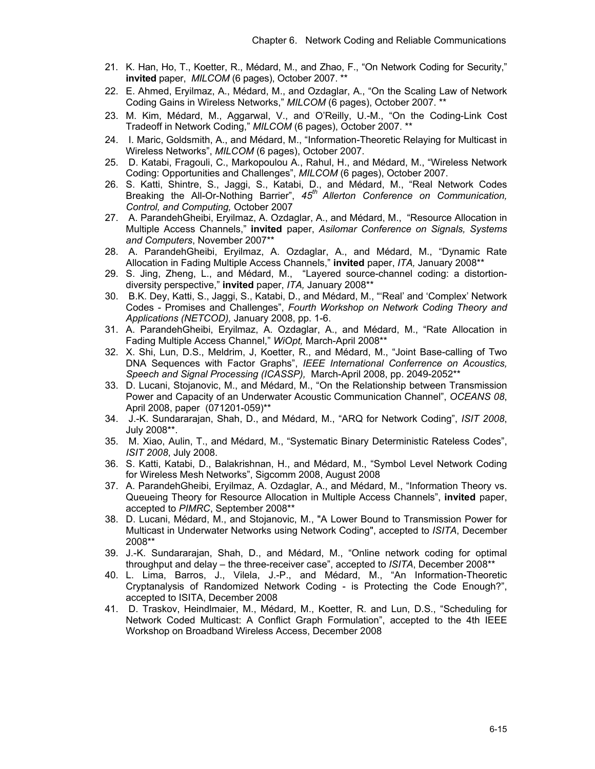- 21. K. Han, Ho, T., Koetter, R., Médard, M., and Zhao, F., "On Network Coding for Security," **invited** paper, *MILCOM* (6 pages), October 2007. \*\*
- 22. E. Ahmed, Eryilmaz, A., Médard, M., and Ozdaglar, A., "On the Scaling Law of Network Coding Gains in Wireless Networks," *MILCOM* (6 pages), October 2007. \*\*
- 23. M. Kim, Médard, M., Aggarwal, V., and O'Reilly, U.-M., "On the Coding-Link Cost Tradeoff in Network Coding," *MILCOM* (6 pages), October 2007. \*\*
- 24. I. Maric, Goldsmith, A., and Médard, M., "Information-Theoretic Relaying for Multicast in Wireless Networks", *MILCOM* (6 pages), October 2007.
- 25. D. Katabi, Fragouli, C., Markopoulou A., Rahul, H., and Médard, M., "Wireless Network Coding: Opportunities and Challenges", *MILCOM* (6 pages), October 2007.
- 26. S. Katti, Shintre, S., Jaggi, S., Katabi, D., and Médard, M., "Real Network Codes Breaking the All-Or-Nothing Barrier", *45th Allerton Conference on Communication, Control, and Computing,* October 2007
- 27. A. ParandehGheibi, Eryilmaz, A. Ozdaglar, A., and Médard, M., "Resource Allocation in Multiple Access Channels," **invited** paper, *Asilomar Conference on Signals, Systems and Computers*, November 2007\*\*
- 28. A. ParandehGheibi, Eryilmaz, A. Ozdaglar, A., and Médard, M., "Dynamic Rate Allocation in Fading Multiple Access Channels," **invited** paper, *ITA,* January 2008\*\*
- 29. S. Jing, Zheng, L., and Médard, M., "Layered source-channel coding: a distortiondiversity perspective," **invited** paper, *ITA,* January 2008\*\*
- 30. B.K. Dey, Katti, S., Jaggi, S., Katabi, D., and Médard, M., "'Real' and 'Complex' Network Codes - Promises and Challenges", *Fourth Workshop on Network Coding Theory and Applications (NETCOD),* January 2008, pp. 1-6.
- 31. A. ParandehGheibi, Eryilmaz, A. Ozdaglar, A., and Médard, M., "Rate Allocation in Fading Multiple Access Channel," *WiOpt,* March-April 2008\*\*
- 32. X. Shi, Lun, D.S., Meldrim, J, Koetter, R., and Médard, M., "Joint Base-calling of Two DNA Sequences with Factor Graphs", *IEEE International Conferrence on Acoustics, Speech and Signal Processing (ICASSP),* March-April 2008, pp. 2049-2052\*\*
- 33. D. Lucani, Stojanovic, M., and Médard, M., "On the Relationship between Transmission Power and Capacity of an Underwater Acoustic Communication Channel", *OCEANS 08*, April 2008, paper (071201-059)\*\*
- 34. J.-K. Sundararajan, Shah, D., and Médard, M., "ARQ for Network Coding", *ISIT 2008*, July 2008\*\*.
- 35. M. Xiao, Aulin, T., and Médard, M., "Systematic Binary Deterministic Rateless Codes", *ISIT 2008*, July 2008.
- 36. S. Katti, Katabi, D., Balakrishnan, H., and Médard, M., "Symbol Level Network Coding for Wireless Mesh Networks", Sigcomm 2008, August 2008
- 37. A. ParandehGheibi, Eryilmaz, A. Ozdaglar, A., and Médard, M., "Information Theory vs. Queueing Theory for Resource Allocation in Multiple Access Channels", **invited** paper, accepted to *PIMRC*, September 2008\*\*
- 38. D. Lucani, Médard, M., and Stojanovic, M., "A Lower Bound to Transmission Power for Multicast in Underwater Networks using Network Coding", accepted to *ISITA*, December 2008\*\*
- 39. J.-K. Sundararajan, Shah, D., and Médard, M., "Online network coding for optimal throughput and delay – the three-receiver case", accepted to *ISITA*, December 2008\*\*
- 40. L. Lima, Barros, J., Vilela, J.-P., and Médard, M., "An Information-Theoretic Cryptanalysis of Randomized Network Coding - is Protecting the Code Enough?", accepted to ISITA, December 2008
- 41. D. Traskov, Heindlmaier, M., Médard, M., Koetter, R. and Lun, D.S., "Scheduling for Network Coded Multicast: A Conflict Graph Formulation", accepted to the 4th IEEE Workshop on Broadband Wireless Access, December 2008